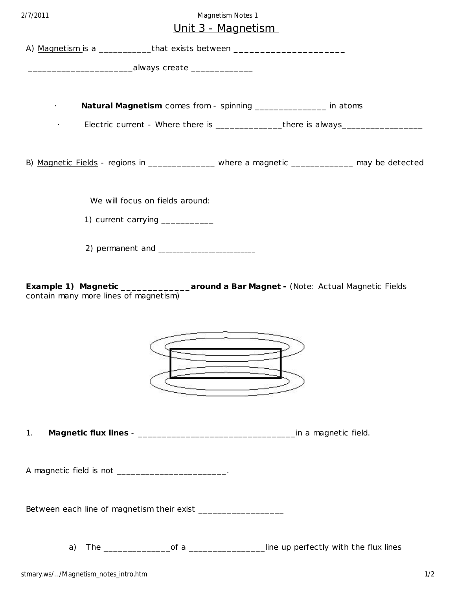## 2/7/2011 Magnetism Notes 1

## Unit 3 - Magnetism

|                                                                                                                                        | <u> Unit 3 - Magnetism</u>                                                       |                      |
|----------------------------------------------------------------------------------------------------------------------------------------|----------------------------------------------------------------------------------|----------------------|
| A) Magnetism is a _____________that exists between _____________________________                                                       |                                                                                  |                      |
|                                                                                                                                        | __________________________________always create ___________________              |                      |
|                                                                                                                                        |                                                                                  |                      |
|                                                                                                                                        | Natural Magnetism comes from - spinning ________________ in atoms                |                      |
|                                                                                                                                        | Electric current - Where there is _________________there is always______________ |                      |
| B) Magnetic Fields - regions in ____________ where a magnetic _________ may be detected                                                |                                                                                  |                      |
|                                                                                                                                        | We will focus on fields around:                                                  |                      |
|                                                                                                                                        | 1) current carrying __________                                                   |                      |
|                                                                                                                                        |                                                                                  |                      |
| Example 1) Magnetic ______________________around a Bar Magnet - (Note: Actual Magnetic Fields<br>contain many more lines of magnetism) |                                                                                  |                      |
|                                                                                                                                        | <u> Germania est</u>                                                             |                      |
| 1 <sub>1</sub>                                                                                                                         |                                                                                  | in a magnetic field. |

A magnetic field is not \_\_\_\_\_\_\_\_\_\_\_\_\_\_\_\_\_\_\_\_\_\_\_\_\_\_.

Between each line of magnetism their exist \_\_\_\_\_\_\_\_\_\_\_\_\_\_\_\_\_\_

a) The \_\_\_\_\_\_\_\_\_\_\_\_\_\_of a \_\_\_\_\_\_\_\_\_\_\_\_\_\_\_\_line up perfec tly with the flux lines